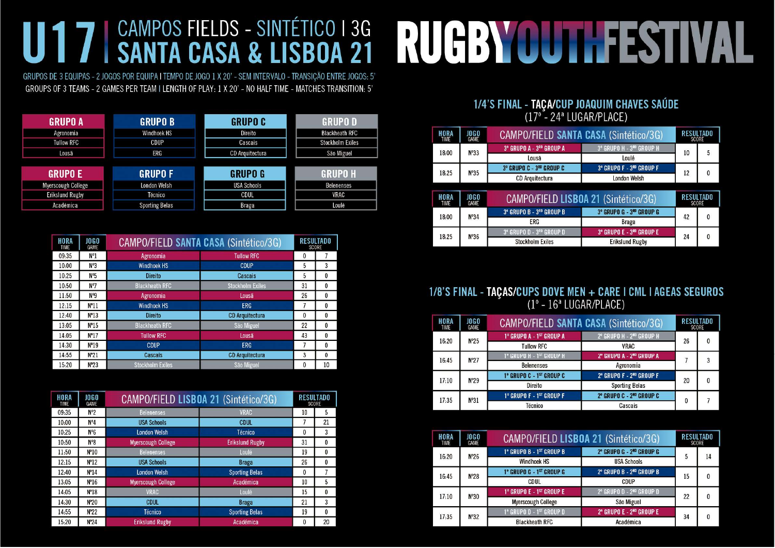# U17 | CAMPOS FIELDS - SINTÉTICO I 3G

GRUPOS DE 3 EQUIPAS - 2 JOGOS POR EQUIPA I TEMPO DE JOGO 1 X 20' - SEM INTERVALO - TRANSICÃO ENTRE JOGOS: 5' GROUPS OF 3 TEAMS - 2 GAMES PER TEAM I LENGTH OF PLAY: 1 X 20' - NO HALF TIME - MATCHES TRANSITION: 5'

| <b>GRUPO A</b>            | <b>GRUPO B</b>        | <b>GRUPO C</b>     | <b>GRUPOD</b>           |
|---------------------------|-----------------------|--------------------|-------------------------|
| Agronomia                 | <b>Windhoek HS</b>    | Direito            | <b>Blackheath RFC</b>   |
| <b>Tullow RFC</b>         | CDUP                  | Cascais            | <b>Stockholm Exiles</b> |
| Lousã                     | ERG                   | CD Arquitectura    | São Miguel              |
|                           |                       |                    |                         |
| <b>GRUPO E</b>            | <b>GRUPOF</b>         | <b>GRUPO G</b>     | <b>GRUPO H</b>          |
| <b>Myerscough College</b> | <b>London Welsh</b>   | <b>USA Schools</b> | <b>Belenenses</b>       |
| <b>Erikslund Rugby</b>    | Técnico               | <b>CDUL</b>        | <b>VRAC</b>             |
| Académica                 | <b>Sporting Belas</b> | <b>Braga</b>       | Loulé                   |

| HORA<br>TIME | 1060<br>GAME      | CAMPO/FIELD SANTA CASA (Sintético/3G) |                         |    | <b>RESULTADO</b><br><b>SCORE</b> |
|--------------|-------------------|---------------------------------------|-------------------------|----|----------------------------------|
| 09.35        | $N^o1$            | Agronomia                             | <b>Tullow RFC</b>       | 0  |                                  |
| 10:00        | N°3               | <b>Windhoek HS</b>                    | <b>CDUP</b>             | 5  | 3                                |
| 10.25        | N°5               | <b>Direito</b>                        | Cascais                 | 5  | 0                                |
| 10:50        | N°7               | <b>Blackheath RFC</b>                 | <b>Stockholm Exiles</b> | 31 | 0                                |
| 11:50        | N°9               | Agronomia                             | Lousã                   | 26 | 0                                |
| 12:15        | N <sup>o</sup> 11 | <b>Windhoek HS</b>                    | <b>ERG</b>              |    | 0                                |
| 12.40        | N <sup>0</sup> 13 | <b>Direito</b>                        | <b>CD</b> Arquitectura  | 0  | 0                                |
| 13.05        | N <sup>015</sup>  | <b>Blackheath RFC</b>                 | São Miguel              | 22 | 0                                |
| 14:05        | $N^o17$           | <b>Tullow RFC</b>                     | Lousã                   | 43 | 0                                |
| 14:30        | N <sup>0</sup> 19 | <b>CDUP</b>                           | <b>ERG</b>              |    | 0                                |
| 14:55        | N°21              | <b>Cascais</b>                        | <b>CD</b> Arquitectura  | 3  | 0                                |
| 15:20        | N°23              | <b>Stockholm Exiles</b>               | São Miguel              | 0  | 10                               |

| HORA<br>TIME | <b>JOGO</b><br>GAME | CAMPO/FIELD LISBOA 21 (Sintético/3G) |                        |    | <b>RESULTADO</b><br><b>SCORE</b> |
|--------------|---------------------|--------------------------------------|------------------------|----|----------------------------------|
| 09:35        | N°2                 | <b>Belenenses</b>                    | <b>VRAC</b>            | 10 | 5                                |
| 10:00        | N°4                 | <b>USA Schools</b>                   | <b>CDUL</b>            |    | 21                               |
| 10:25        | N°6                 | <b>London Welsh</b>                  | <b>Técnico</b>         | 0  | 3                                |
| 10:50        | N°8                 | <b>Myerscough College</b>            | <b>Erikslund Rugby</b> | 31 | 0                                |
| 11:50        | $N^o10$             | <b>Belenenses</b>                    | Loulé                  | 19 | 0                                |
| 12:15        | N <sup>0</sup> 12   | <b>USA Schools</b>                   | <b>Braga</b>           | 26 | 0                                |
| 12:40        | $N^o14$             | <b>London Welsh</b>                  | <b>Sporting Belas</b>  | 0  |                                  |
| 13:05        | N°16                | <b>Myerscough College</b>            | Académica              | 10 | 5                                |
| 14:05        | $N^o18$             | <b>VRAC</b>                          | Loulé                  | 15 | 0                                |
| 14:30        | N°20                | <b>CDUL</b>                          | <b>Braga</b>           | 21 | 3                                |
| 14:55        | N <sup>0</sup> 22   | Técnico                              | <b>Sporting Belas</b>  | 19 | 0                                |
| 15:20        | $N^{\circ}24$       | <b>Erikslund Rugby</b>               | Académica              | 0  | 20                               |

#### 1/4'S FINAL - TAÇA/CUP JOAQUIM CHAVES SAÚDE<br>(17º - 24ª LUGAR/PLACE)

RUGBYOUT FESTIVAL

| <b>HORA</b><br>TIME | JOG 0<br>GAME | CAMPO/FIELD SANTA CASA (Sintético/3G) |                                      |    | <b>RESULTADO</b><br><b>SCORE</b> |
|---------------------|---------------|---------------------------------------|--------------------------------------|----|----------------------------------|
| 18:00               | $N^o33$       | 3° GRUPO A - 3RD GROUP A              | 3° GRUPO H - 3 <sup>80</sup> GROUP H | 10 | 5                                |
|                     |               | Lousã                                 | Loulé                                |    |                                  |
| 18:25               | $N^{\circ}35$ | <b>3° GRUPO C - 3RD GROUP C</b>       | 3° GRUPO F - 3 <sup>80</sup> GROUP F | 12 | 0                                |
|                     |               | <b>CD</b> Arquitectura                | <b>London Welsh</b>                  |    |                                  |
|                     |               |                                       |                                      |    |                                  |
|                     |               |                                       |                                      |    |                                  |
| <b>HORA</b><br>TIME | JOGO<br>GAME  |                                       | CAMPO/FIELD LISBOA 21 (Sintético/3G) |    | RESULTADO<br><b>SCORE</b>        |
|                     |               | 3° GRUPO B - 3RD GROUP B              | 3° GRUPO G - 3 <sup>80</sup> GROUP G |    |                                  |
| 18:00               | $N^{\circ}34$ | <b>ERG</b>                            | <b>Braga</b>                         | 42 | 0                                |
| 18.25               | N°36          | 3° GRUPO D - 3RD GROUP D              | 3° GRUPO E - 3 <sup>RD</sup> GROUP E | 24 | 0                                |

#### 1/8'S FINAL - TAÇAS/CUPS DOVE MEN + CARE I CML I AGEAS SEGUROS<br>(1° - 16° LUGAR/PLACE)

| HORA<br>TIME           | <b>JOG0</b><br>GAME                          | CAMPO/FIELD SANTA CASA (Sintético/3G)     |                                      | <b>RESULTADO</b><br><b>SCORE</b> |   |
|------------------------|----------------------------------------------|-------------------------------------------|--------------------------------------|----------------------------------|---|
| $N^{\circ}25$<br>16:20 | 1º GRUPO A - 1ST GROUP A                     | 2° GRUPO H - 2 <sup>kD</sup> GROUP H      | 26                                   | $\Omega$                         |   |
|                        | <b>Tullow RFC</b>                            | <b>VRAC</b>                               |                                      |                                  |   |
| 16:45<br>$N^o27$       | 1° GRUPO H - 1 <sup>st</sup> gr <u>oup h</u> | 2° GRUPO A - 2 <sup>ND</sup> GROUP A      |                                      | 3                                |   |
|                        | <b>Belenenses</b>                            | Agronomia                                 |                                      |                                  |   |
| $N^{\circ}29$<br>17:10 |                                              | 1° GRUPO C - 1ST GROUP C                  | 2° GRUPO F - 2 <sup>ND</sup> GROUP F | 20                               | 0 |
|                        |                                              | <b>Direito</b>                            | <b>Sporting Belas</b>                |                                  |   |
| 17:35                  |                                              | $1^{\circ}$ GRUPO F - $1^{\circ}$ GROUP F | 2° GRUPO C - 2 <sup>80</sup> GROUP C | 0                                |   |
| N <sup>o</sup> 31      |                                              | Técnico                                   | Cascais                              |                                  |   |

| HORA<br>TIME  | JOG0<br>GAME                    | CAMPO/FIELD LISBOA 21 (Sintético/3G)         |                                      | <b>SCORE</b> |    |
|---------------|---------------------------------|----------------------------------------------|--------------------------------------|--------------|----|
|               | <b>1º GRUPO B - 1ST GROUP B</b> | 2° GRUPO G - 2 <sup>ND</sup> GROUP G         | 5                                    |              |    |
|               | 16.20<br>$N^{\circ}26$          | <b>Windhoek HS</b>                           | <b>USA Schools</b>                   |              | 14 |
|               | $N^{\circ}28$<br>16:45          | 1° GRUPO G - 1ST GROUP G                     | 2° GRUPO B - 2 <sup>ND</sup> GROUP B | 15           | 0  |
|               |                                 | CDUL                                         | CDUP                                 |              |    |
| 17:10         | N°30                            | $1^\circ$ GRUPO E - $1^\circ$ T GROUP E      | 2° GRUPO D - 2 <sup>ND</sup> GROUP D | 22           | 0  |
|               |                                 | <b>Myerscough College</b>                    | São Miguel                           |              |    |
|               |                                 | 1º GRUPO D - 1 <sup>st</sup> gr <u>oup d</u> | 2° GRUPO E - 2 <sup>ND</sup> GROUP E | 34           |    |
| 17:35<br>N°32 | <b>Blackheath RFC</b>           | Académica                                    |                                      | 0            |    |